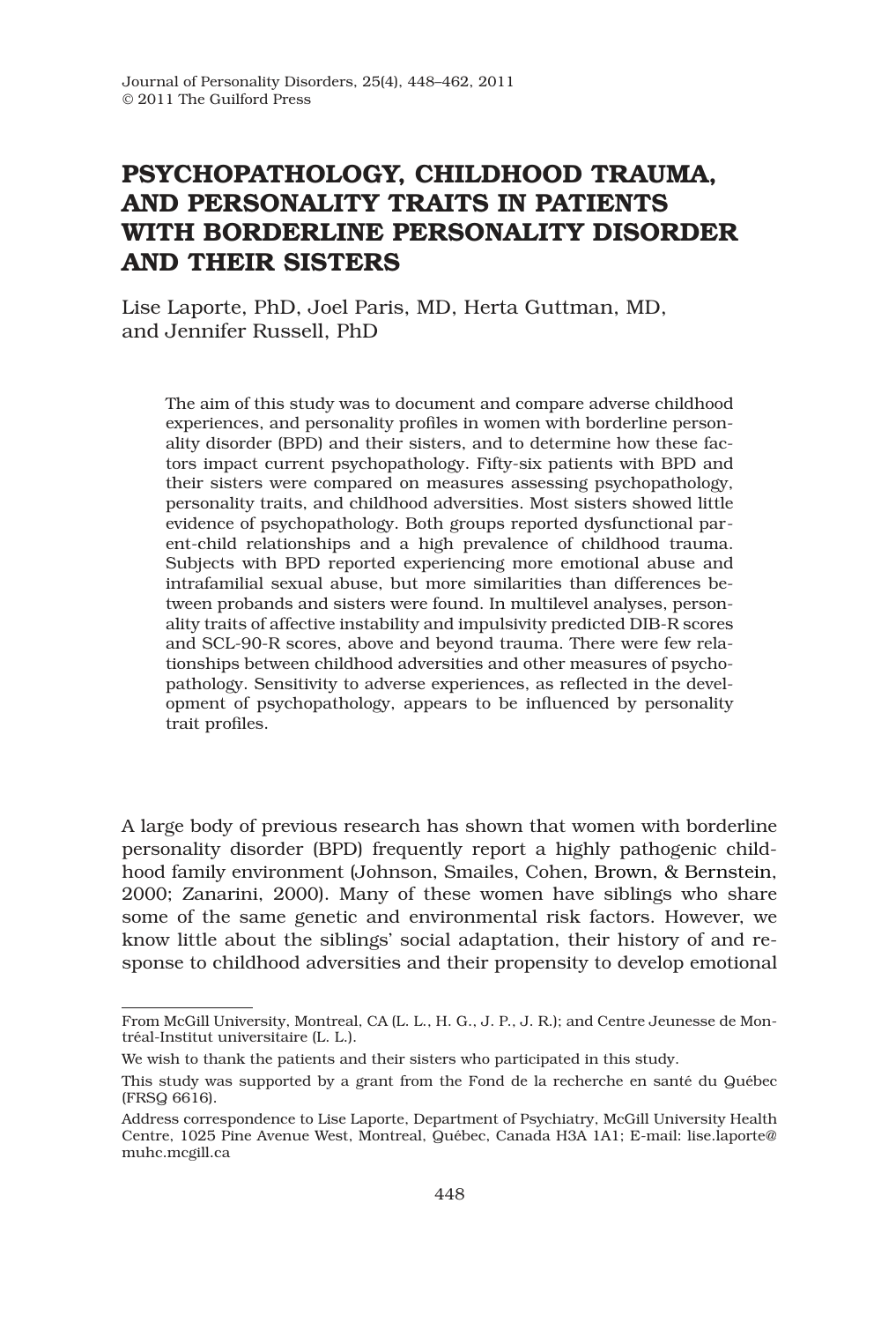# PSYCHOPATHOLOGY, CHILDHOOD TRAUMA, AND PERSONALITY TRAITS IN PATIENTS WITH BORDERLINE PERSONALITY DISORDER AND THEIR SISTERS

Lise Laporte, PhD, Joel Paris, MD, Herta Guttman, MD, and Jennifer Russell, PhD

The aim of this study was to document and compare adverse childhood experiences, and personality profiles in women with borderline personality disorder (BPD) and their sisters, and to determine how these factors impact current psychopathology. Fifty-six patients with BPD and their sisters were compared on measures assessing psychopathology, personality traits, and childhood adversities. Most sisters showed little evidence of psychopathology. Both groups reported dysfunctional parent-child relationships and a high prevalence of childhood trauma. Subjects with BPD reported experiencing more emotional abuse and intrafamilial sexual abuse, but more similarities than differences between probands and sisters were found. In multilevel analyses, personality traits of affective instability and impulsivity predicted DIB-R scores and SCL-90-R scores, above and beyond trauma. There were few relationships between childhood adversities and other measures of psychopathology. Sensitivity to adverse experiences, as reflected in the development of psychopathology, appears to be influenced by personality trait profiles.

A large body of previous research has shown that women with borderline personality disorder (BPD) frequently report a highly pathogenic childhood family environment (Johnson, Smailes, Cohen, Brown, & Bernstein, 2000; Zanarini, 2000). Many of these women have siblings who share some of the same genetic and environmental risk factors. However, we know little about the siblings' social adaptation, their history of and response to childhood adversities and their propensity to develop emotional

From McGill University, Montreal, CA (L. L., H. G., J. P., J. R.); and Centre Jeunesse de Montréal-Institut universitaire (L. L.).

We wish to thank the patients and their sisters who participated in this study.

This study was supported by a grant from the Fond de la recherche en santé du Québec (FRSQ 6616).

Address correspondence to Lise Laporte, Department of Psychiatry, McGill University Health Centre, 1025 Pine Avenue West, Montreal, Québec, Canada H3A 1A1; E-mail: lise.laporte@ muhc.mcgill.ca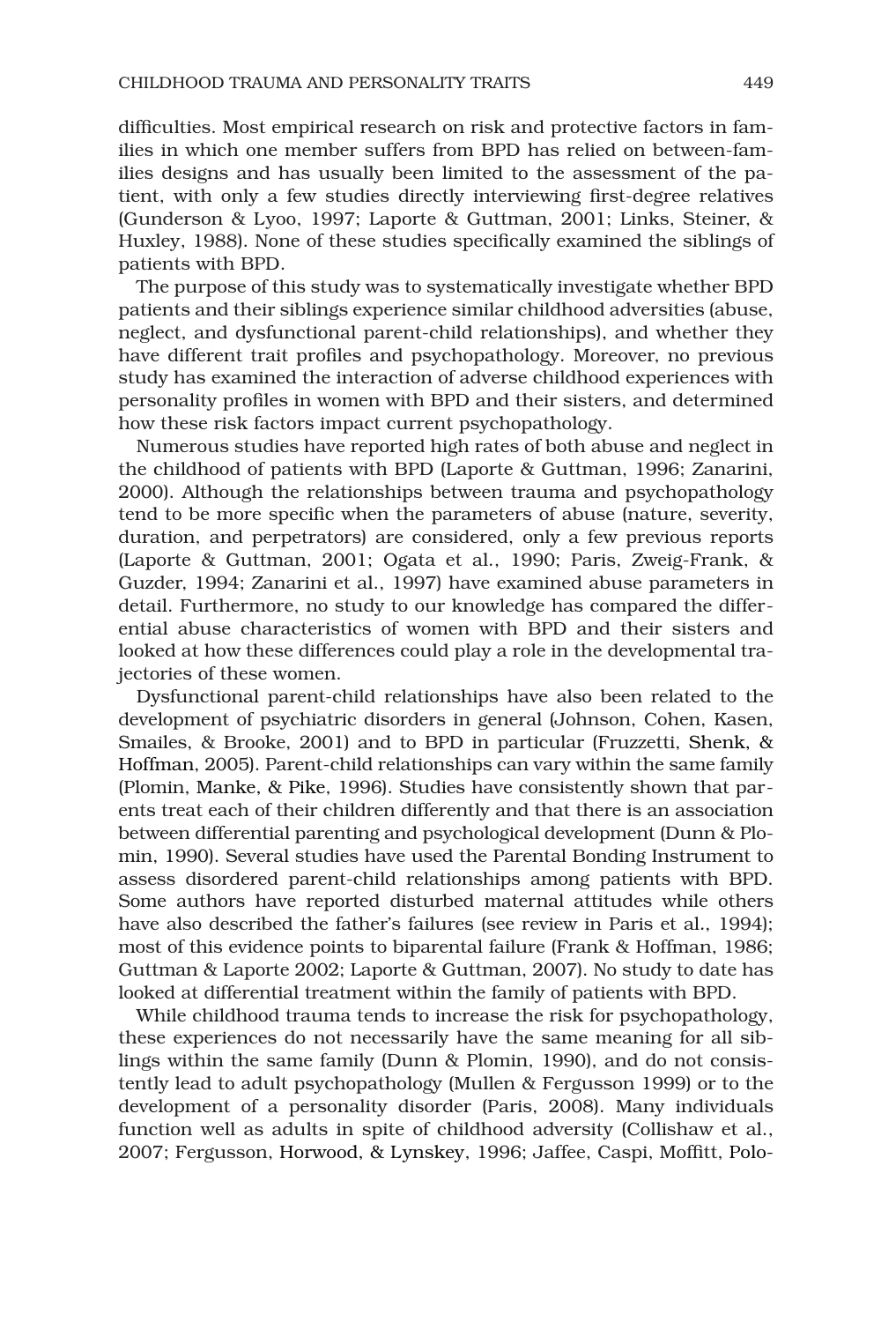difficulties. Most empirical research on risk and protective factors in families in which one member suffers from BPD has relied on between-families designs and has usually been limited to the assessment of the patient, with only a few studies directly interviewing first-degree relatives (Gunderson & Lyoo, 1997; Laporte & Guttman, 2001; Links, Steiner, & Huxley, 1988). None of these studies specifically examined the siblings of patients with BPD.

The purpose of this study was to systematically investigate whether BPD patients and their siblings experience similar childhood adversities (abuse, neglect, and dysfunctional parent-child relationships), and whether they have different trait profiles and psychopathology. Moreover, no previous study has examined the interaction of adverse childhood experiences with personality profiles in women with BPD and their sisters, and determined how these risk factors impact current psychopathology.

Numerous studies have reported high rates of both abuse and neglect in the childhood of patients with BPD (Laporte & Guttman, 1996; Zanarini, 2000). Although the relationships between trauma and psychopathology tend to be more specific when the parameters of abuse (nature, severity, duration, and perpetrators) are considered, only a few previous reports (Laporte & Guttman, 2001; Ogata et al., 1990; Paris, Zweig-Frank, & Guzder, 1994; Zanarini et al., 1997) have examined abuse parameters in detail. Furthermore, no study to our knowledge has compared the differential abuse characteristics of women with BPD and their sisters and looked at how these differences could play a role in the developmental trajectories of these women.

Dysfunctional parent-child relationships have also been related to the development of psychiatric disorders in general (Johnson, Cohen, Kasen, Smailes, & Brooke, 2001) and to BPD in particular (Fruzzetti, Shenk, & Hoffman, 2005). Parent-child relationships can vary within the same family (Plomin, Manke, & Pike, 1996). Studies have consistently shown that parents treat each of their children differently and that there is an association between differential parenting and psychological development (Dunn & Plomin, 1990). Several studies have used the Parental Bonding Instrument to assess disordered parent-child relationships among patients with BPD. Some authors have reported disturbed maternal attitudes while others have also described the father's failures (see review in Paris et al*.*, 1994); most of this evidence points to biparental failure (Frank & Hoffman, 1986; Guttman & Laporte 2002; Laporte & Guttman, 2007). No study to date has looked at differential treatment within the family of patients with BPD.

While childhood trauma tends to increase the risk for psychopathology, these experiences do not necessarily have the same meaning for all siblings within the same family (Dunn & Plomin, 1990), and do not consistently lead to adult psychopathology (Mullen & Fergusson 1999) or to the development of a personality disorder (Paris, 2008). Many individuals function well as adults in spite of childhood adversity (Collishaw et al., 2007; Fergusson, Horwood, & Lynskey, 1996; Jaffee, Caspi, Moffitt, Polo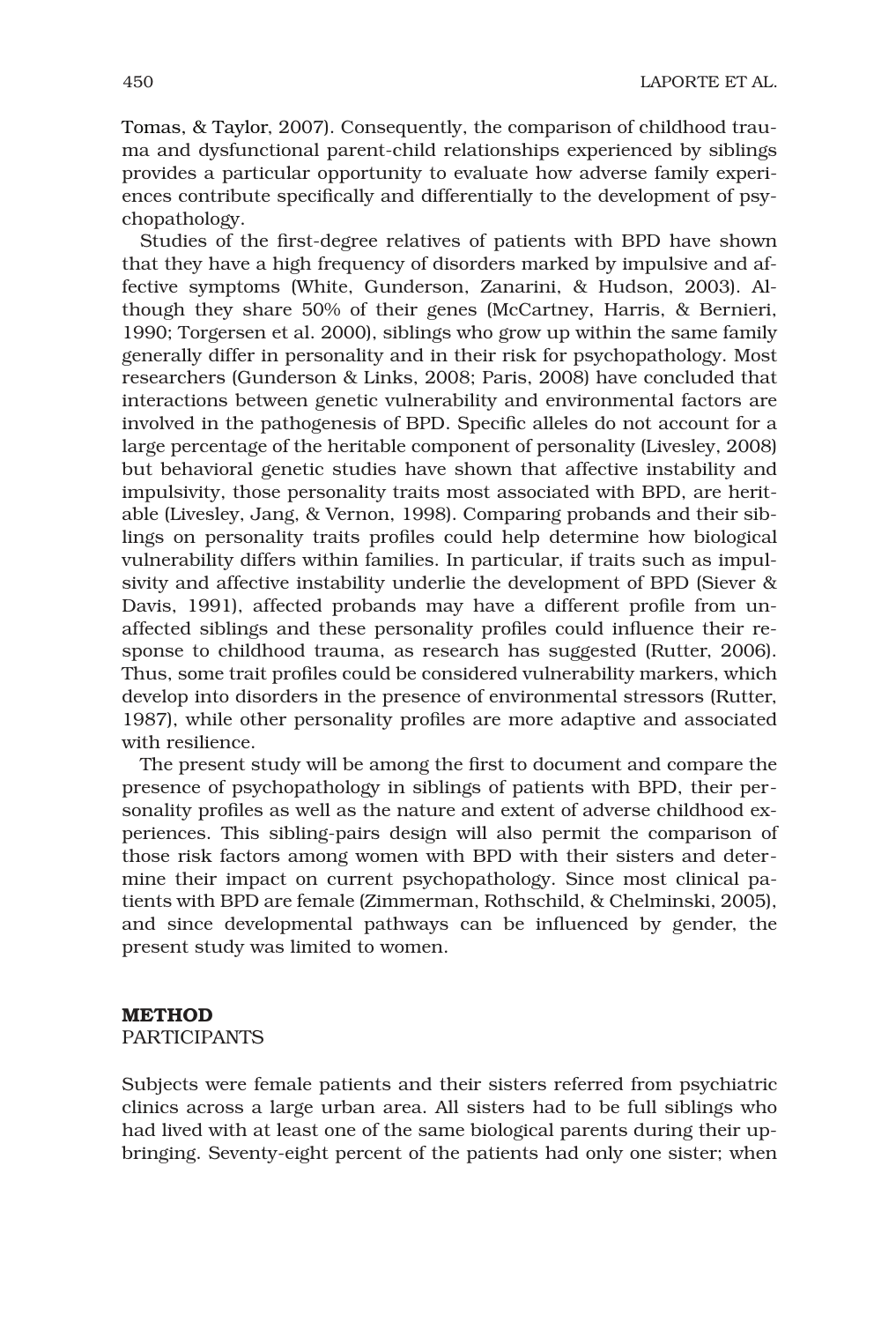Tomas, & Taylor, 2007). Consequently, the comparison of childhood trauma and dysfunctional parent-child relationships experienced by siblings provides a particular opportunity to evaluate how adverse family experiences contribute specifically and differentially to the development of psychopathology.

Studies of the first-degree relatives of patients with BPD have shown that they have a high frequency of disorders marked by impulsive and affective symptoms (White, Gunderson, Zanarini, & Hudson, 2003). Although they share 50% of their genes (McCartney, Harris, & Bernieri, 1990; Torgersen et al. 2000), siblings who grow up within the same family generally differ in personality and in their risk for psychopathology. Most researchers (Gunderson & Links, 2008; Paris, 2008) have concluded that interactions between genetic vulnerability and environmental factors are involved in the pathogenesis of BPD. Specific alleles do not account for a large percentage of the heritable component of personality (Livesley, 2008) but behavioral genetic studies have shown that affective instability and impulsivity, those personality traits most associated with BPD, are heritable (Livesley, Jang, & Vernon, 1998). Comparing probands and their siblings on personality traits profiles could help determine how biological vulnerability differs within families. In particular, if traits such as impulsivity and affective instability underlie the development of BPD (Siever & Davis, 1991), affected probands may have a different profile from unaffected siblings and these personality profiles could influence their response to childhood trauma, as research has suggested (Rutter, 2006). Thus, some trait profiles could be considered vulnerability markers, which develop into disorders in the presence of environmental stressors (Rutter, 1987), while other personality profiles are more adaptive and associated with resilience.

The present study will be among the first to document and compare the presence of psychopathology in siblings of patients with BPD, their personality profiles as well as the nature and extent of adverse childhood experiences. This sibling-pairs design will also permit the comparison of those risk factors among women with BPD with their sisters and determine their impact on current psychopathology. Since most clinical patients with BPD are female (Zimmerman, Rothschild, & Chelminski, 2005), and since developmental pathways can be influenced by gender, the present study was limited to women.

# METHOD

### PARTICIPANTS

Subjects were female patients and their sisters referred from psychiatric clinics across a large urban area. All sisters had to be full siblings who had lived with at least one of the same biological parents during their upbringing. Seventy-eight percent of the patients had only one sister; when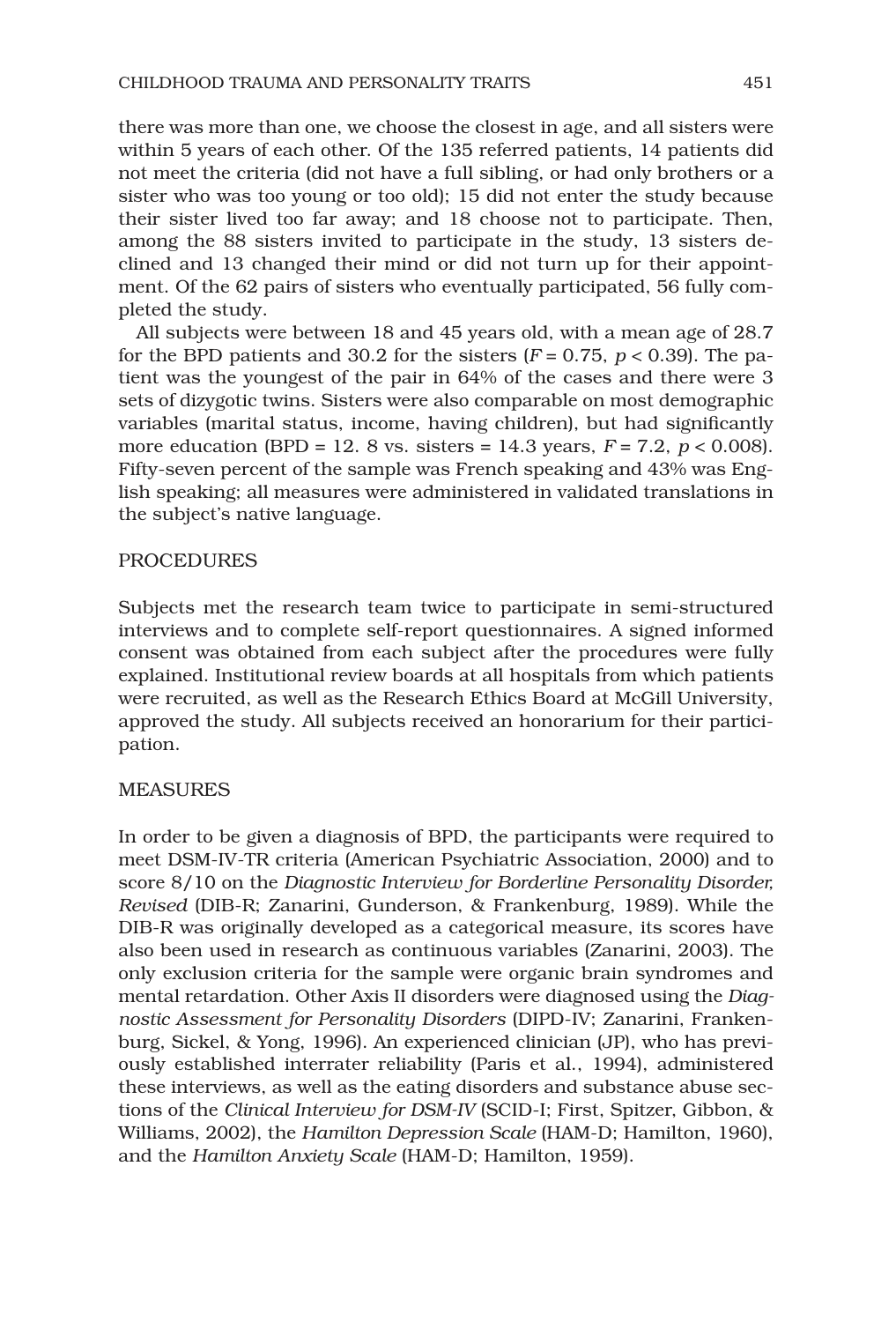there was more than one, we choose the closest in age, and all sisters were within 5 years of each other. Of the 135 referred patients, 14 patients did not meet the criteria (did not have a full sibling, or had only brothers or a sister who was too young or too old); 15 did not enter the study because their sister lived too far away; and 18 choose not to participate. Then, among the 88 sisters invited to participate in the study, 13 sisters declined and 13 changed their mind or did not turn up for their appointment. Of the 62 pairs of sisters who eventually participated, 56 fully completed the study.

All subjects were between 18 and 45 years old, with a mean age of 28.7 for the BPD patients and 30.2 for the sisters  $(F = 0.75, p < 0.39)$ . The patient was the youngest of the pair in 64% of the cases and there were 3 sets of dizygotic twins. Sisters were also comparable on most demographic variables (marital status, income, having children), but had significantly more education (BPD = 12. 8 vs. sisters = 14.3 years, *F* = 7.2, *p* < 0.008). Fifty-seven percent of the sample was French speaking and 43% was English speaking; all measures were administered in validated translations in the subject's native language.

## **PROCEDURES**

Subjects met the research team twice to participate in semi-structured interviews and to complete self-report questionnaires. A signed informed consent was obtained from each subject after the procedures were fully explained. Institutional review boards at all hospitals from which patients were recruited, as well as the Research Ethics Board at McGill University, approved the study. All subjects received an honorarium for their participation.

## MEASURES

In order to be given a diagnosis of BPD, the participants were required to meet DSM-IV-TR criteria (American Psychiatric Association, 2000) and to score 8/10 on the *Diagnostic Interview for Borderline Personality Disorder, Revised* (DIB-R; Zanarini, Gunderson, & Frankenburg, 1989). While the DIB-R was originally developed as a categorical measure, its scores have also been used in research as continuous variables (Zanarini, 2003). The only exclusion criteria for the sample were organic brain syndromes and mental retardation. Other Axis II disorders were diagnosed using the *Diagnostic Assessment for Personality Disorders* (DIPD-IV; Zanarini, Frankenburg, Sickel, & Yong, 1996). An experienced clinician (JP), who has previously established interrater reliability (Paris et al., 1994), administered these interviews, as well as the eating disorders and substance abuse sections of the *Clinical Interview for DSM-IV* (SCID-I; First, Spitzer, Gibbon, & Williams, 2002), the *Hamilton Depression Scale* (HAM-D; Hamilton, 1960), and the *Hamilton Anxiety Scale* (HAM-D; Hamilton, 1959).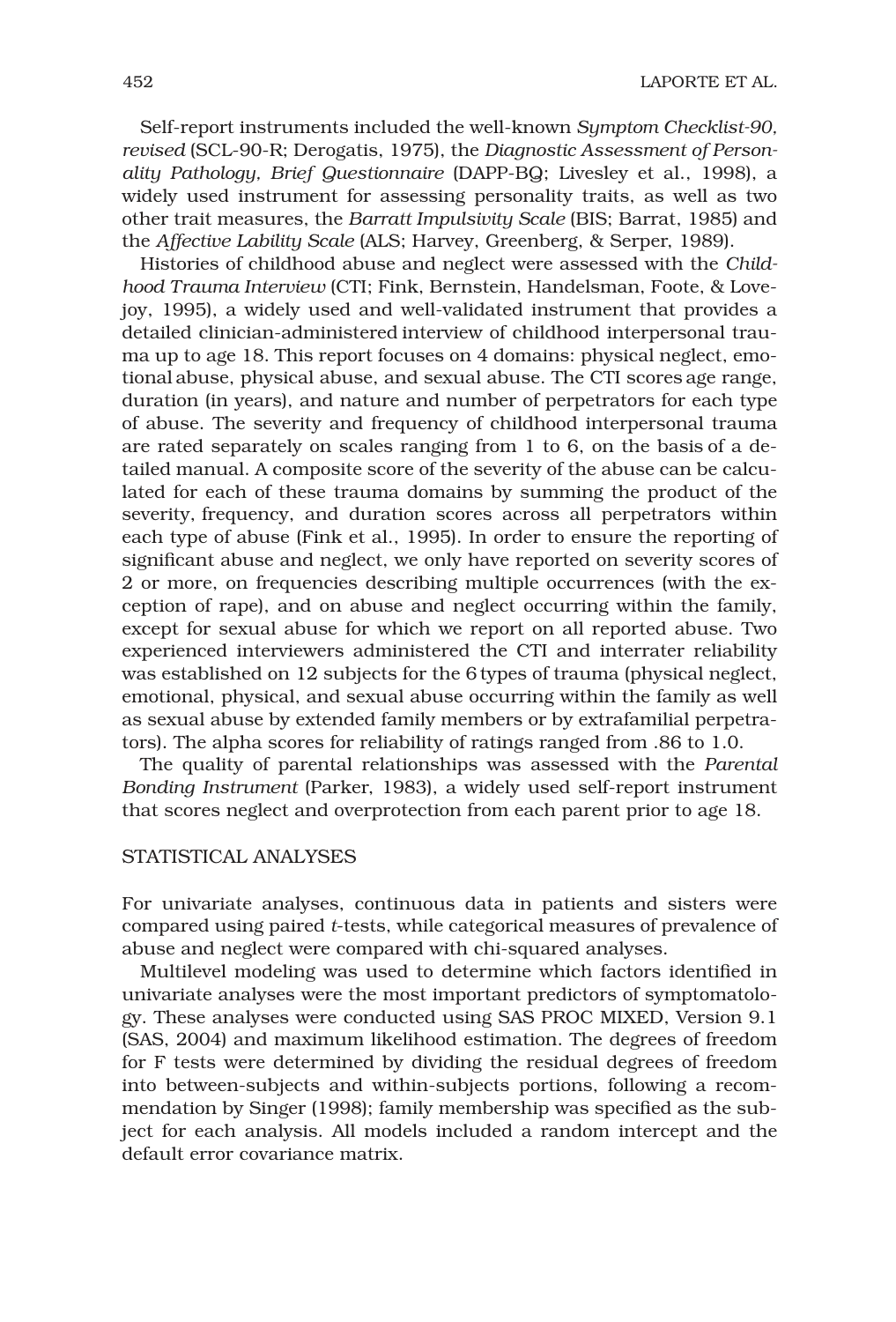Self-report instruments included the well-known *Symptom Checklist-90, revised* (SCL-90-R; Derogatis, 1975), the *Diagnostic Assessment of Personality Pathology, Brief Questionnaire* (DAPP-BQ; Livesley et al., 1998), a widely used instrument for assessing personality traits, as well as two other trait measures, the *Barratt Impulsivity Scale* (BIS; Barrat, 1985) and the *Affective Lability Scale* (ALS; Harvey, Greenberg, & Serper, 1989).

Histories of childhood abuse and neglect were assessed with the *Childhood Trauma Interview* (CTI; Fink, Bernstein, Handelsman, Foote, & Lovejoy, 1995), a widely used and well-validated instrument that provides a detailed clinician-administered interview of childhood interpersonal trauma up to age 18. This report focuses on 4 domains: physical neglect, emotional abuse, physical abuse, and sexual abuse. The CTI scores age range, duration (in years), and nature and number of perpetrators for each type of abuse. The severity and frequency of childhood interpersonal trauma are rated separately on scales ranging from 1 to 6, on the basis of a detailed manual. A composite score of the severity of the abuse can be calculated for each of these trauma domains by summing the product of the severity, frequency, and duration scores across all perpetrators within each type of abuse (Fink et al., 1995). In order to ensure the reporting of significant abuse and neglect, we only have reported on severity scores of 2 or more, on frequencies describing multiple occurrences (with the exception of rape), and on abuse and neglect occurring within the family, except for sexual abuse for which we report on all reported abuse. Two experienced interviewers administered the CTI and interrater reliability was established on 12 subjects for the 6 types of trauma (physical neglect, emotional, physical, and sexual abuse occurring within the family as well as sexual abuse by extended family members or by extrafamilial perpetrators). The alpha scores for reliability of ratings ranged from .86 to 1.0.

The quality of parental relationships was assessed with the *Parental Bonding Instrument* (Parker, 1983), a widely used self-report instrument that scores neglect and overprotection from each parent prior to age 18.

# STATISTICAL ANALYSES

For univariate analyses, continuous data in patients and sisters were compared using paired *t*-tests, while categorical measures of prevalence of abuse and neglect were compared with chi-squared analyses.

Multilevel modeling was used to determine which factors identified in univariate analyses were the most important predictors of symptomatology. These analyses were conducted using SAS PROC MIXED, Version 9.1 (SAS, 2004) and maximum likelihood estimation. The degrees of freedom for F tests were determined by dividing the residual degrees of freedom into between-subjects and within-subjects portions, following a recommendation by Singer (1998); family membership was specified as the subject for each analysis. All models included a random intercept and the default error covariance matrix.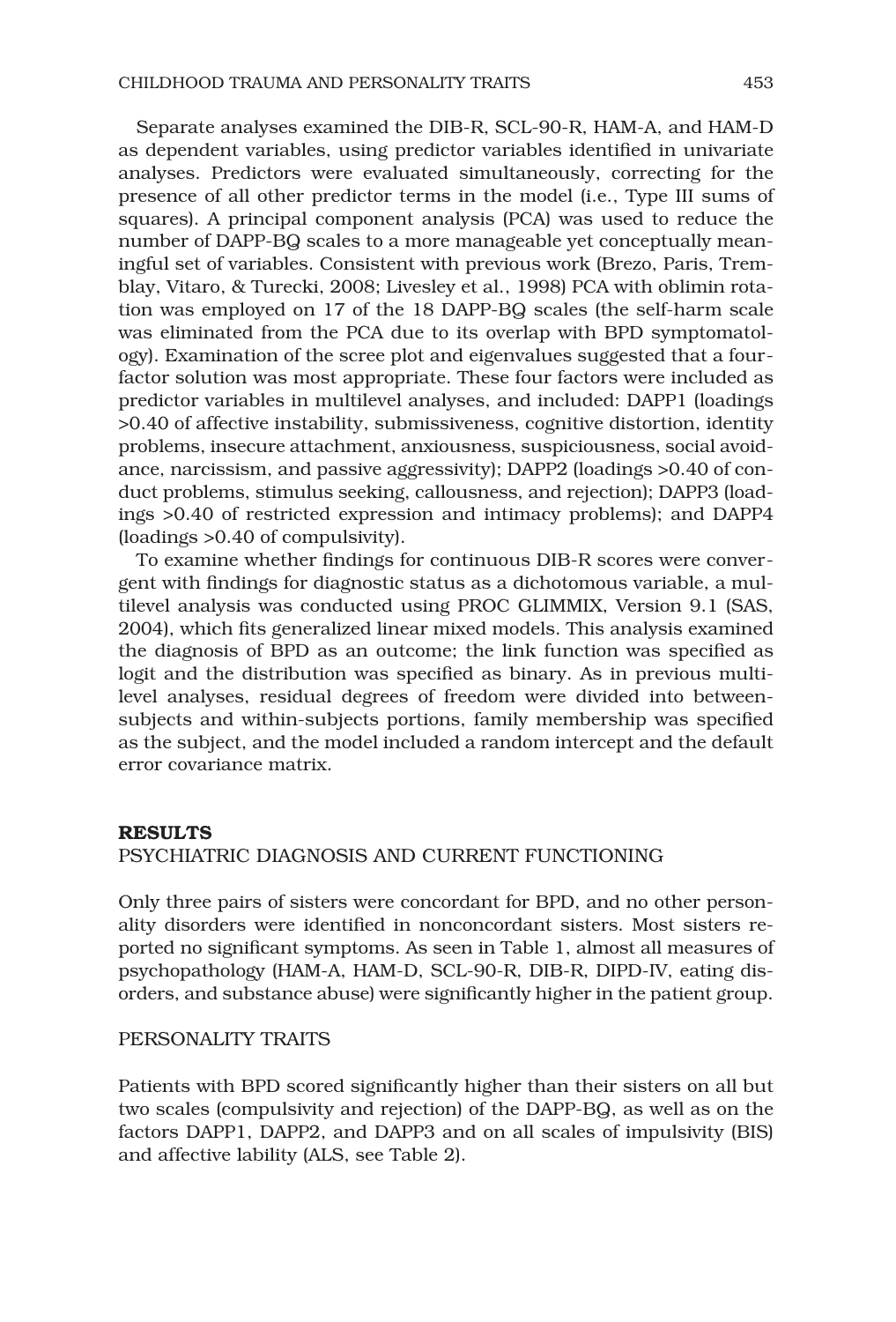Separate analyses examined the DIB-R, SCL-90-R, HAM-A, and HAM-D as dependent variables, using predictor variables identified in univariate analyses. Predictors were evaluated simultaneously, correcting for the presence of all other predictor terms in the model (i.e., Type III sums of squares). A principal component analysis (PCA) was used to reduce the number of DAPP-BQ scales to a more manageable yet conceptually meaningful set of variables. Consistent with previous work (Brezo, Paris, Tremblay, Vitaro, & Turecki, 2008; Livesley et al., 1998) PCA with oblimin rotation was employed on 17 of the 18 DAPP-BQ scales (the self-harm scale was eliminated from the PCA due to its overlap with BPD symptomatology). Examination of the scree plot and eigenvalues suggested that a fourfactor solution was most appropriate. These four factors were included as predictor variables in multilevel analyses, and included: DAPP1 (loadings >0.40 of affective instability, submissiveness, cognitive distortion, identity problems, insecure attachment, anxiousness, suspiciousness, social avoidance, narcissism, and passive aggressivity); DAPP2 (loadings >0.40 of conduct problems, stimulus seeking, callousness, and rejection); DAPP3 (loadings >0.40 of restricted expression and intimacy problems); and DAPP4 (loadings >0.40 of compulsivity).

To examine whether findings for continuous DIB-R scores were convergent with findings for diagnostic status as a dichotomous variable, a multilevel analysis was conducted using PROC GLIMMIX, Version 9.1 (SAS, 2004), which fits generalized linear mixed models. This analysis examined the diagnosis of BPD as an outcome; the link function was specified as logit and the distribution was specified as binary. As in previous multilevel analyses, residual degrees of freedom were divided into betweensubjects and within-subjects portions, family membership was specified as the subject, and the model included a random intercept and the default error covariance matrix.

#### RESULTS

## PSYCHIATRIC DIAGNOSIS AND CURRENT FUNCTIONING

Only three pairs of sisters were concordant for BPD, and no other personality disorders were identified in nonconcordant sisters. Most sisters reported no significant symptoms. As seen in Table 1, almost all measures of psychopathology (HAM-A, HAM-D, SCL-90-R, DIB-R, DIPD-IV, eating disorders, and substance abuse) were significantly higher in the patient group.

# PERSONALITY TRAITS

Patients with BPD scored significantly higher than their sisters on all but two scales (compulsivity and rejection) of the DAPP-BQ, as well as on the factors DAPP1, DAPP2, and DAPP3 and on all scales of impulsivity (BIS) and affective lability (ALS, see Table 2).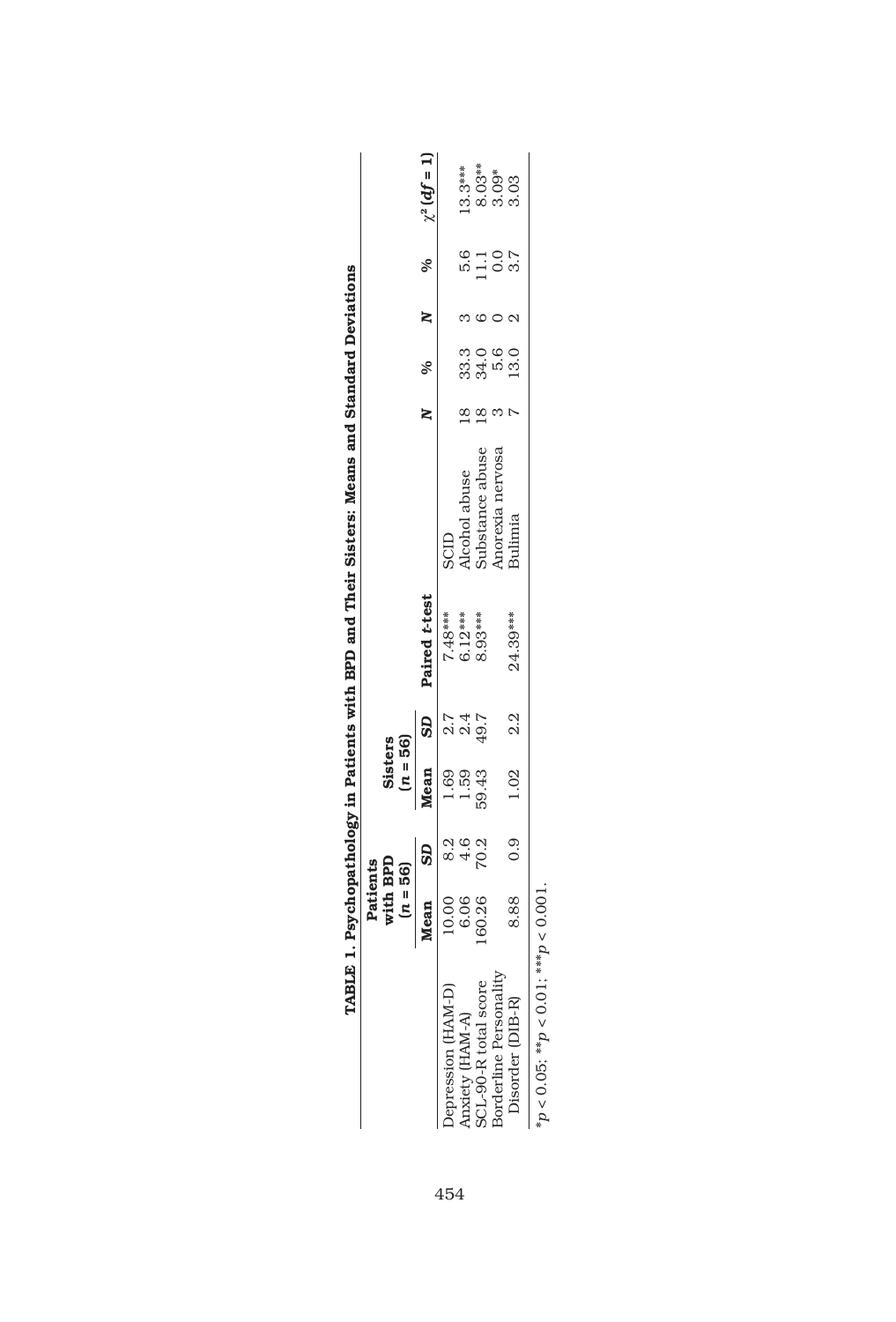|                                                | with BPD<br>$(n = 56)$<br>Patients |                        | Sisters<br>$(n = 56)$ |                         |                                   |                    |              |               |   |                |                     |
|------------------------------------------------|------------------------------------|------------------------|-----------------------|-------------------------|-----------------------------------|--------------------|--------------|---------------|---|----------------|---------------------|
|                                                | Mean                               | $\overline{\text{SD}}$ | Mean                  | $\overline{\textbf{S}}$ | Paired t-test                     |                    | $\mathbf{z}$ | $\frac{6}{6}$ | Z |                | % $\chi^2 (df = 1)$ |
| <b>Depression</b> (HAM-D)                      |                                    |                        |                       |                         |                                   | SCID               |              |               |   |                |                     |
|                                                | $10.00$<br>$6.06$<br>$60.26$       | 8.4<br>8.4<br>70.2     | $1.59$<br>$1.59$      | 7 4 7<br>이 이 유<br>이 이 유 | $7.48***$<br>6.12 ***<br>8.93 *** | <b>Mohol</b> abuse |              |               |   |                |                     |
| Anxiety (HAM-A)<br>SCL-90-R total score        |                                    |                        | 59.43                 |                         |                                   | substance abuse    |              |               |   | 5.107<br>110.7 |                     |
| Borderline Personality                         |                                    |                        |                       |                         |                                   | Anorexia nervosa   |              |               |   |                |                     |
| Disorder (DIB-R)                               | 8.88 0.9                           |                        | 1.02                  | 2.2                     | 24.39***                          | Bulimia            |              |               |   |                |                     |
| * $p < 0.05$ ; ** $p < 0.01$ ; *** $p < 0.001$ |                                    |                        |                       |                         |                                   |                    |              |               |   |                |                     |

| I                        |  |
|--------------------------|--|
|                          |  |
|                          |  |
|                          |  |
|                          |  |
|                          |  |
|                          |  |
|                          |  |
|                          |  |
|                          |  |
| ו<br>ו                   |  |
|                          |  |
|                          |  |
|                          |  |
| l                        |  |
|                          |  |
|                          |  |
| ĺ                        |  |
|                          |  |
|                          |  |
|                          |  |
| l                        |  |
| ı                        |  |
|                          |  |
|                          |  |
|                          |  |
|                          |  |
|                          |  |
|                          |  |
|                          |  |
|                          |  |
|                          |  |
|                          |  |
| ֠                        |  |
|                          |  |
|                          |  |
|                          |  |
|                          |  |
|                          |  |
|                          |  |
| I                        |  |
|                          |  |
|                          |  |
|                          |  |
| $\overline{\phantom{a}}$ |  |
| I                        |  |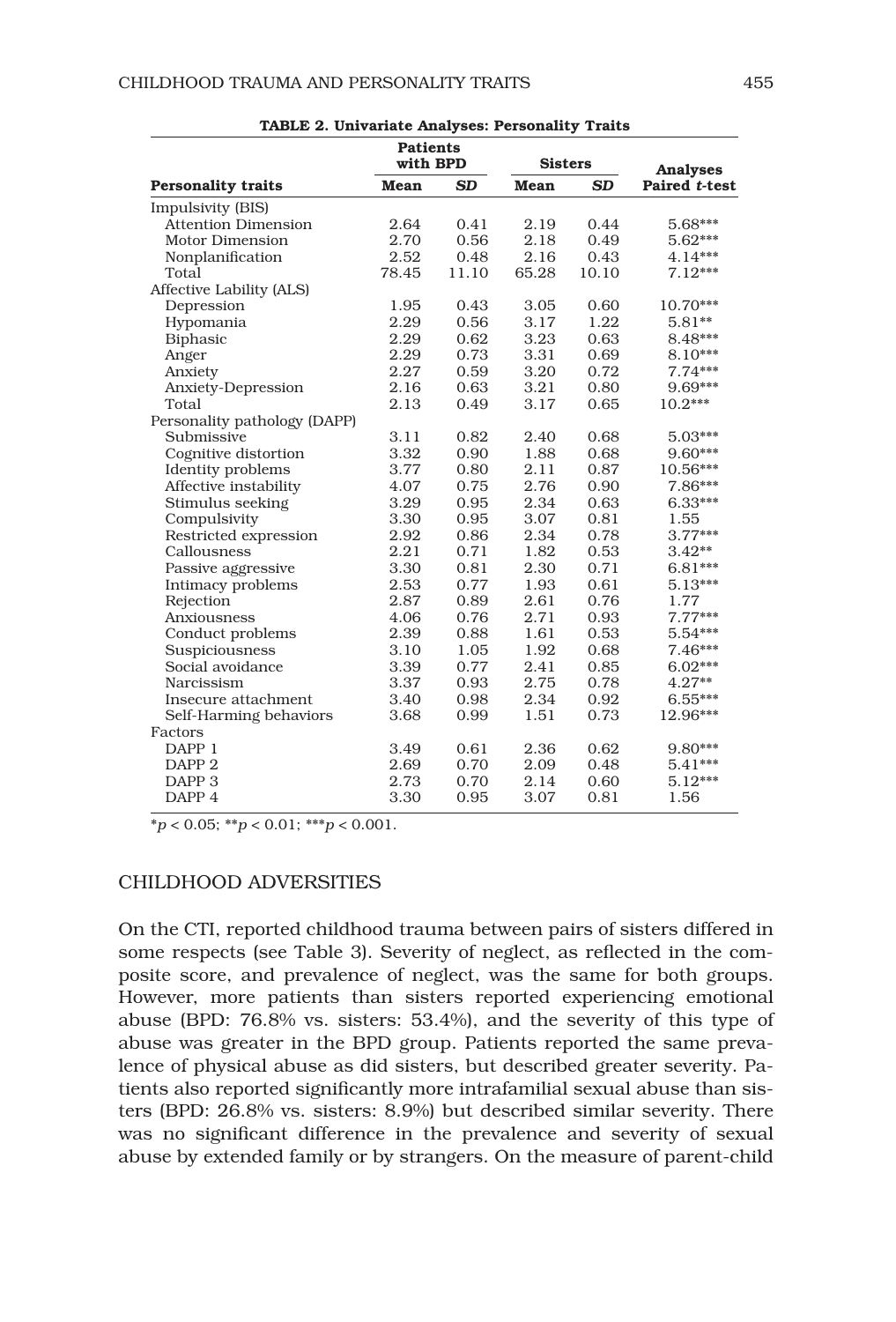|                              |             | <b>Patients</b><br>with <b>BPD</b> |       | <b>Sisters</b> | <b>Analyses</b> |
|------------------------------|-------------|------------------------------------|-------|----------------|-----------------|
| <b>Personality traits</b>    | <b>Mean</b> | <b>SD</b>                          | Mean  | <b>SD</b>      | Paired t-test   |
| Impulsivity (BIS)            |             |                                    |       |                |                 |
| <b>Attention Dimension</b>   | 2.64        | 0.41                               | 2.19  | 0.44           | $5.68***$       |
| Motor Dimension              | 2.70        | 0.56                               | 2.18  | 0.49           | 5.62***         |
| Nonplanification             | 2.52        | 0.48                               | 2.16  | 0.43           | 4.14***         |
| Total                        | 78.45       | 11.10                              | 65.28 | 10.10          | $7.12***$       |
| Affective Lability (ALS)     |             |                                    |       |                |                 |
| Depression                   | 1.95        | 0.43                               | 3.05  | 0.60           | 10.70***        |
| Hypomania                    | 2.29        | 0.56                               | 3.17  | 1.22           | $5.81**$        |
| <b>Biphasic</b>              | 2.29        | 0.62                               | 3.23  | 0.63           | 8.48***         |
| Anger                        | 2.29        | 0.73                               | 3.31  | 0.69           | 8.10***         |
| Anxiety                      | 2.27        | 0.59                               | 3.20  | 0.72           | 7.74***         |
| Anxiety-Depression           | 2.16        | 0.63                               | 3.21  | 0.80           | 9.69***         |
| Total                        | 2.13        | 0.49                               | 3.17  | 0.65           | $10.2***$       |
| Personality pathology (DAPP) |             |                                    |       |                |                 |
| Submissive                   | 3.11        | 0.82                               | 2.40  | 0.68           | 5.03***         |
| Cognitive distortion         | 3.32        | 0.90                               | 1.88  | 0.68           | 9.60***         |
| Identity problems            | 3.77        | 0.80                               | 2.11  | 0.87           | 10.56***        |
| Affective instability        | 4.07        | 0.75                               | 2.76  | 0.90           | 7.86***         |
| Stimulus seeking             | 3.29        | 0.95                               | 2.34  | 0.63           | $6.33***$       |
| Compulsivity                 | 3.30        | 0.95                               | 3.07  | 0.81           | 1.55            |
| Restricted expression        | 2.92        | 0.86                               | 2.34  | 0.78           | $3.77***$       |
| Callousness                  | 2.21        | 0.71                               | 1.82  | 0.53           | $3.42**$        |
| Passive aggressive           | 3.30        | 0.81                               | 2.30  | 0.71           | 6.81***         |
| Intimacy problems            | 2.53        | 0.77                               | 1.93  | 0.61           | 5.13***         |
| Rejection                    | 2.87        | 0.89                               | 2.61  | 0.76           | 1.77            |
| Anxiousness                  | 4.06        | 0.76                               | 2.71  | 0.93           | 7.77***         |
| Conduct problems             | 2.39        | 0.88                               | 1.61  | 0.53           | $5.54***$       |
| Suspiciousness               | 3.10        | 1.05                               | 1.92  | 0.68           | 7.46***         |
| Social avoidance             | 3.39        | 0.77                               | 2.41  | 0.85           | $6.02***$       |
| Narcissism                   | 3.37        | 0.93                               | 2.75  | 0.78           | $4.27**$        |
| Insecure attachment          | 3.40        | 0.98                               | 2.34  | 0.92           | $6.55***$       |
| Self-Harming behaviors       | 3.68        | 0.99                               | 1.51  | 0.73           | 12.96***        |
| Factors                      |             |                                    |       |                |                 |
| DAPP 1                       | 3.49        | 0.61                               | 2.36  | 0.62           | 9.80***         |
| DAPP <sub>2</sub>            | 2.69        | 0.70                               | 2.09  | 0.48           | $5.41***$       |
| DAPP <sub>3</sub>            | 2.73        | 0.70                               | 2.14  | 0.60           | $5.12***$       |
| DAPP <sub>4</sub>            | 3.30        | 0.95                               | 3.07  | 0.81           | 1.56            |

TABLE 2. Univariate Analyses: Personality Traits

\**p* < 0.05; \*\**p* < 0.01; \*\*\**p* < 0.001.

## CHILDHOOD ADVERSITIES

On the CTI, reported childhood trauma between pairs of sisters differed in some respects (see Table 3). Severity of neglect, as reflected in the composite score, and prevalence of neglect, was the same for both groups. However, more patients than sisters reported experiencing emotional abuse (BPD: 76.8% vs. sisters: 53.4%), and the severity of this type of abuse was greater in the BPD group. Patients reported the same prevalence of physical abuse as did sisters, but described greater severity. Patients also reported significantly more intrafamilial sexual abuse than sisters (BPD: 26.8% vs. sisters: 8.9%) but described similar severity. There was no significant difference in the prevalence and severity of sexual abuse by extended family or by strangers. On the measure of parent-child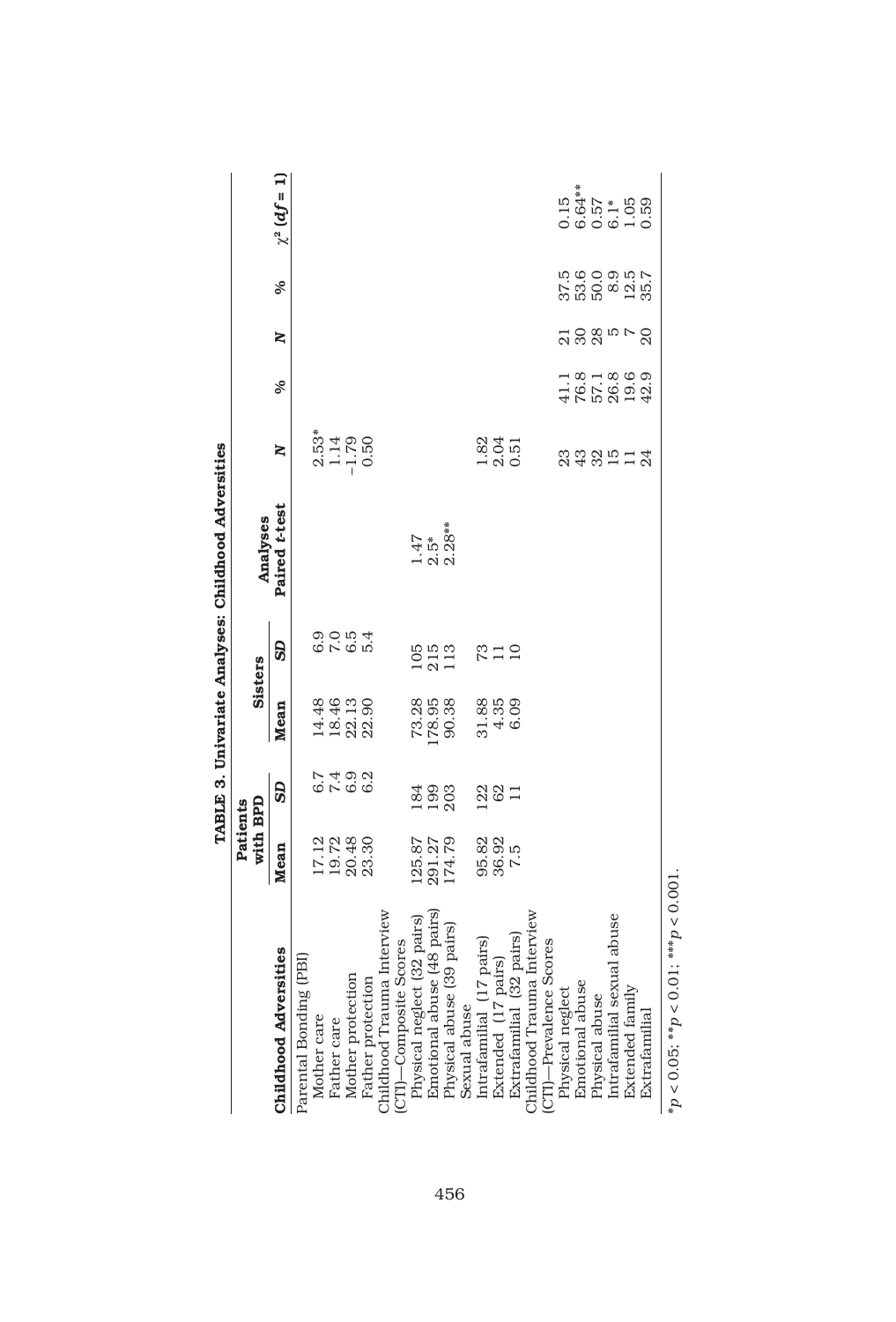|                                                                                             |                                  |              |                                  |                    | TABLE 3. Univariate Analyses: Childhood Adversities |                                        |                           |        |   |                                            |
|---------------------------------------------------------------------------------------------|----------------------------------|--------------|----------------------------------|--------------------|-----------------------------------------------------|----------------------------------------|---------------------------|--------|---|--------------------------------------------|
|                                                                                             | Patients                         |              |                                  |                    |                                                     |                                        |                           |        |   |                                            |
|                                                                                             | with BPD                         |              |                                  | Sisters            | Analyses                                            |                                        |                           |        |   |                                            |
| <b>Childhood Adversities</b>                                                                | Mean                             | SD           | Mean                             | <b>GSD</b>         | Paired t-test                                       | Z                                      | ℅                         | 2      | ℅ | $\chi^2$ (df = 1)                          |
| (PBI)<br>Parental Bonding                                                                   |                                  |              |                                  |                    |                                                     |                                        |                           |        |   |                                            |
| Mother care                                                                                 |                                  |              |                                  |                    |                                                     |                                        |                           |        |   |                                            |
| Father care                                                                                 |                                  |              |                                  |                    |                                                     |                                        |                           |        |   |                                            |
| Mother protection<br>Father protection                                                      | 17.12<br>19.73<br>20.33<br>23.32 | てんもう<br>こくさい | 14.48<br>18.45<br>22.90<br>22.90 | e ve ve<br>e ve ve |                                                     | $2.53$<br>$2.14$<br>$-1.79$<br>$-0.50$ |                           |        |   |                                            |
|                                                                                             |                                  |              |                                  |                    |                                                     |                                        |                           |        |   |                                            |
| Childhood Trauma Interview                                                                  |                                  |              |                                  |                    |                                                     |                                        |                           |        |   |                                            |
|                                                                                             |                                  |              |                                  |                    |                                                     |                                        |                           |        |   |                                            |
| (CTI)—Composite Scores<br>Physical neglect (32 pairs)<br>Emotional abuse (48 pairs)         |                                  |              |                                  |                    |                                                     |                                        |                           |        |   |                                            |
|                                                                                             | 125.87<br>291.27<br>174.79       | 184<br>1903  | 73.28<br>178.95                  | 105<br>213<br>113  | $\frac{1.47}{2.5}$<br>2.28**                        |                                        |                           |        |   |                                            |
| (39 pairs)<br>Physical abuse (                                                              |                                  |              | 90.38                            |                    |                                                     |                                        |                           |        |   |                                            |
|                                                                                             |                                  |              |                                  |                    |                                                     |                                        |                           |        |   |                                            |
|                                                                                             | 95.82<br>36.92                   |              | $31.88$<br>$4.35$<br>6.09        |                    |                                                     | $1.82$<br>$2.04$<br>$0.51$             |                           |        |   |                                            |
|                                                                                             |                                  | 282          |                                  | 7310               |                                                     |                                        |                           |        |   |                                            |
| Sexual abuse<br>Intrafamilial (17 pairs)<br>Extended (17 pairs)<br>Extrafamilial (32 pairs) | 7.5                              |              |                                  |                    |                                                     |                                        |                           |        |   |                                            |
| Childhood Trauma Interview<br>(CTI)—Prevalence Scores                                       |                                  |              |                                  |                    |                                                     |                                        |                           |        |   |                                            |
|                                                                                             |                                  |              |                                  |                    |                                                     |                                        |                           |        |   |                                            |
| Physical neglect                                                                            |                                  |              |                                  |                    |                                                     |                                        |                           |        |   |                                            |
| Emotional abuse<br>Physical abuse                                                           |                                  |              |                                  |                    |                                                     |                                        |                           |        |   |                                            |
|                                                                                             |                                  |              |                                  |                    |                                                     |                                        |                           |        |   |                                            |
| Intrafamilial sexual abuse                                                                  |                                  |              |                                  |                    |                                                     |                                        |                           |        |   |                                            |
| Extended family                                                                             |                                  |              |                                  |                    |                                                     | 333512                                 | 1818869<br>195892<br>1958 | 338578 |   | 15<br>0.64 %<br>0.60 % 0.69<br>0.60 % 0.69 |
| Extrafamilial                                                                               |                                  |              |                                  |                    |                                                     |                                        |                           |        |   |                                            |
|                                                                                             |                                  |              |                                  |                    |                                                     |                                        |                           |        |   |                                            |

 $_{*}^{p}p<0.05;$   $_{**}^{*p}<0.01;$   $_{***}^{*p}<0.001.$ \**p* < 0.05; \*\**p* < 0.01; \*\*\**p* < 0.001.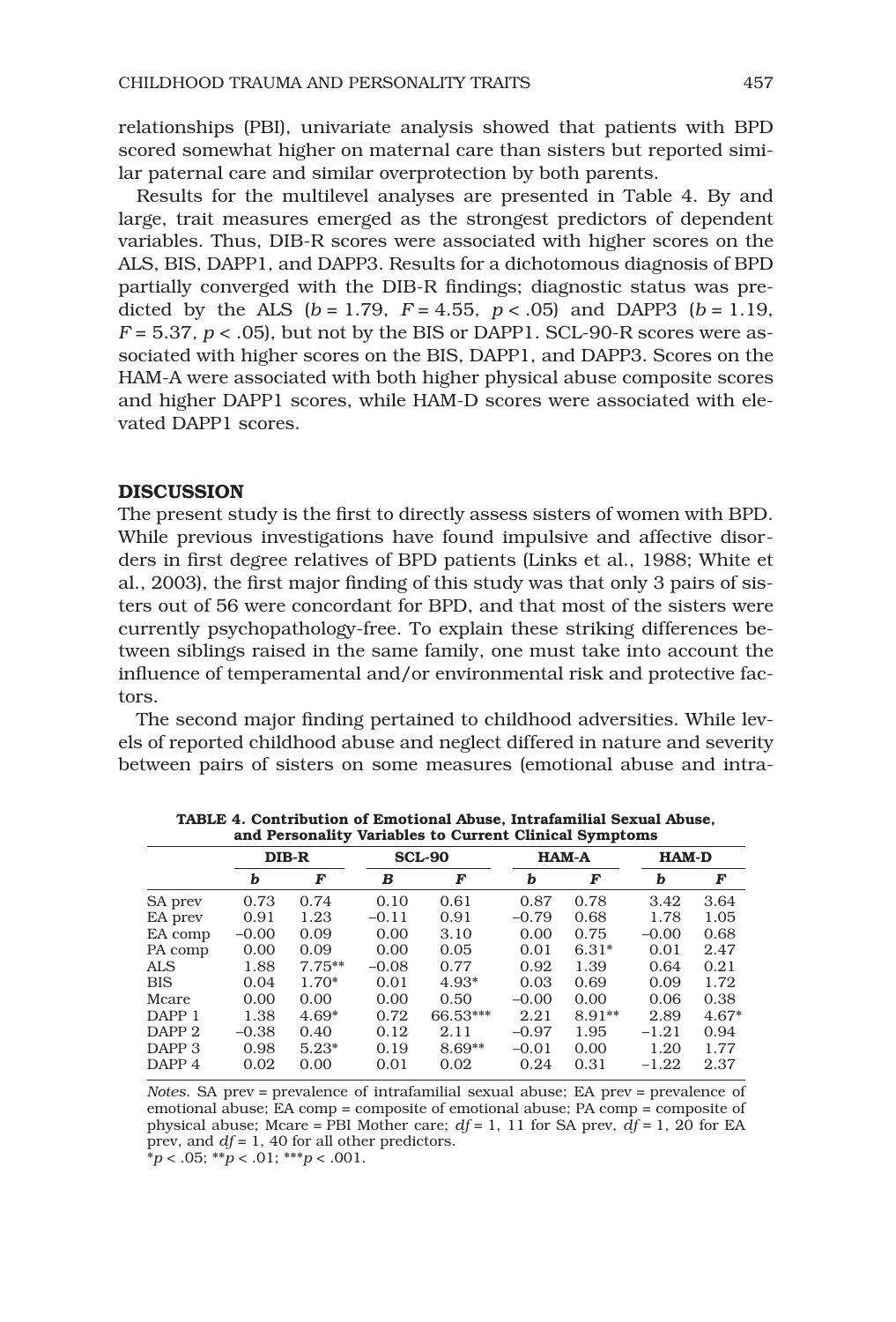relationships (PBI), univariate analysis showed that patients with BPD scored somewhat higher on maternal care than sisters but reported similar paternal care and similar overprotection by both parents.

Results for the multilevel analyses are presented in Table 4. By and large, trait measures emerged as the strongest predictors of dependent variables. Thus, DIB-R scores were associated with higher scores on the ALS, BIS, DAPP1, and DAPP3. Results for a dichotomous diagnosis of BPD partially converged with the DIB-R findings; diagnostic status was predicted by the ALS ( $b = 1.79$ ,  $F = 4.55$ ,  $p < .05$ ) and DAPP3 ( $b = 1.19$ ,  $F = 5.37$ ,  $p < .05$ ), but not by the BIS or DAPP1. SCL-90-R scores were associated with higher scores on the BIS, DAPP1, and DAPP3. Scores on the HAM-A were associated with both higher physical abuse composite scores and higher DAPP1 scores, while HAM-D scores were associated with elevated DAPP1 scores.

## DISCUSSION

The present study is the first to directly assess sisters of women with BPD. While previous investigations have found impulsive and affective disorders in first degree relatives of BPD patients (Links et al., 1988; White et al., 2003), the first major finding of this study was that only 3 pairs of sisters out of 56 were concordant for BPD, and that most of the sisters were currently psychopathology-free. To explain these striking differences between siblings raised in the same family, one must take into account the influence of temperamental and/or environmental risk and protective factors.

The second major finding pertained to childhood adversities. While levels of reported childhood abuse and neglect differed in nature and severity between pairs of sisters on some measures (emotional abuse and intra-

|                   |         |          |         | and reisonancy variables to Current Chineal Symptoms |         |              |              |         |
|-------------------|---------|----------|---------|------------------------------------------------------|---------|--------------|--------------|---------|
|                   |         | DIB-R    |         | <b>SCL-90</b>                                        |         | <b>HAM-A</b> | <b>HAM-D</b> |         |
|                   | b       | F        | В       | F                                                    | b       | F            | b            | F       |
| SA prev           | 0.73    | 0.74     | 0.10    | 0.61                                                 | 0.87    | 0.78         | 3.42         | 3.64    |
| EA prev           | 0.91    | 1.23     | $-0.11$ | 0.91                                                 | $-0.79$ | 0.68         | 1.78         | 1.05    |
| EA comp           | $-0.00$ | 0.09     | 0.00    | 3.10                                                 | 0.00    | 0.75         | $-0.00$      | 0.68    |
| PA comp           | 0.00    | 0.09     | 0.00    | 0.05                                                 | 0.01    | $6.31*$      | 0.01         | 2.47    |
| ALS               | 1.88    | $7.75**$ | $-0.08$ | 0.77                                                 | 0.92    | 1.39         | 0.64         | 0.21    |
| <b>BIS</b>        | 0.04    | $1.70*$  | 0.01    | 4.93*                                                | 0.03    | 0.69         | 0.09         | 1.72    |
| Mcare             | 0.00    | 0.00     | 0.00    | 0.50                                                 | $-0.00$ | 0.00         | 0.06         | 0.38    |
| DAPP <sub>1</sub> | 1.38    | $4.69*$  | 0.72    | 66.53***                                             | 2.21    | $8.91**$     | 2.89         | $4.67*$ |
| DAPP <sub>2</sub> | $-0.38$ | 0.40     | 0.12    | 2.11                                                 | $-0.97$ | 1.95         | $-1.21$      | 0.94    |
| DAPP <sub>3</sub> | 0.98    | $5.23*$  | 0.19    | $8.69**$                                             | $-0.01$ | 0.00         | 1.20         | 1.77    |
| DAPP <sub>4</sub> | 0.02    | 0.00     | 0.01    | 0.02                                                 | 0.24    | 0.31         | $-1.22$      | 2.37    |

TABLE 4. Contribution of Emotional Abuse, Intrafamilial Sexual Abuse, nd Personality Variables to Current Clinical Sy

*Notes*. SA prev = prevalence of intrafamilial sexual abuse; EA prev = prevalence of emotional abuse; EA comp = composite of emotional abuse; PA comp = composite of physical abuse; Mcare = PBI Mother care;  $df = 1$ , 11 for SA prev,  $df = 1$ , 20 for EA prev, and *df* = 1, 40 for all other predictors.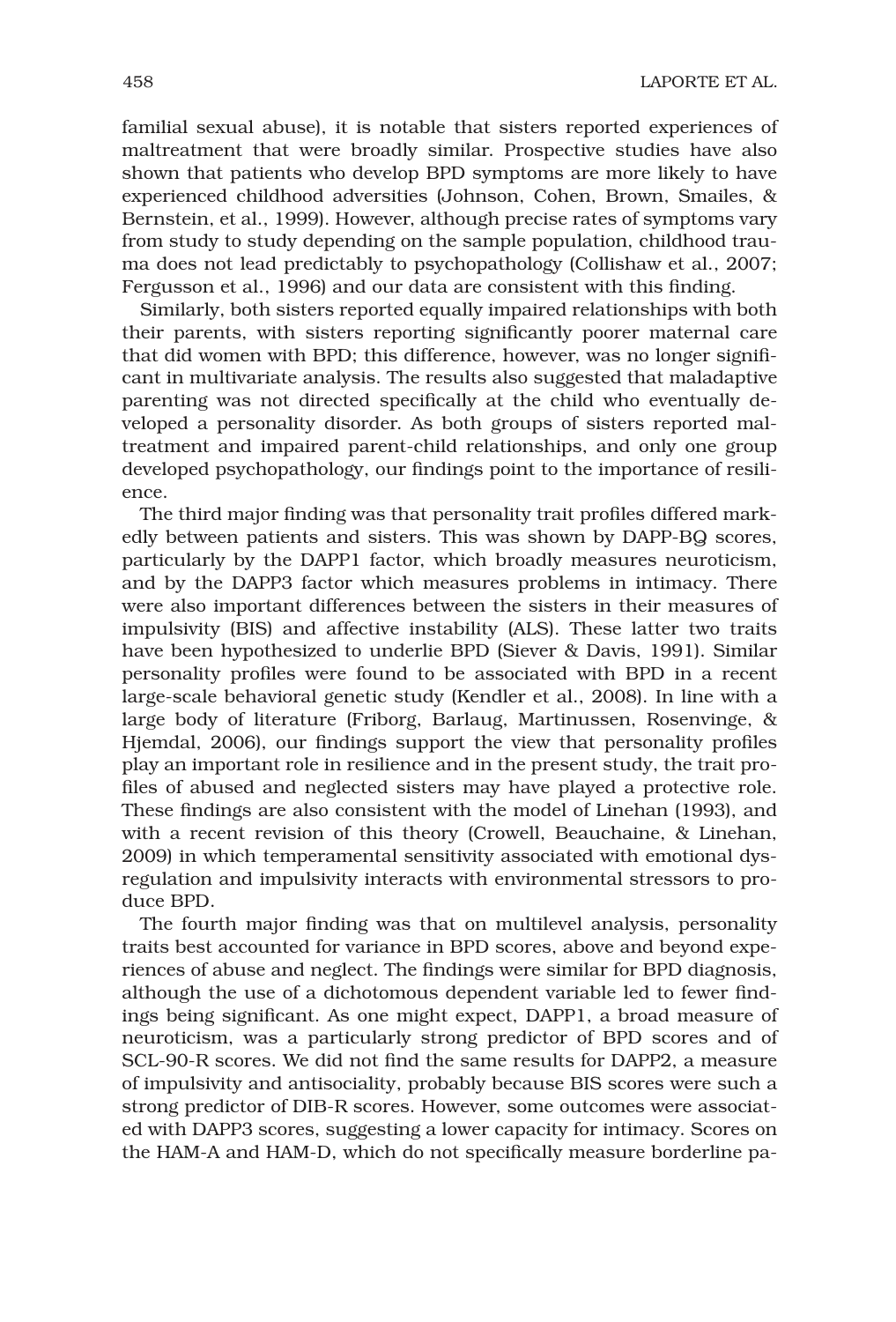familial sexual abuse), it is notable that sisters reported experiences of maltreatment that were broadly similar. Prospective studies have also shown that patients who develop BPD symptoms are more likely to have experienced childhood adversities (Johnson, Cohen, Brown, Smailes, & Bernstein, et al., 1999). However, although precise rates of symptoms vary from study to study depending on the sample population, childhood trauma does not lead predictably to psychopathology (Collishaw et al., 2007; Fergusson et al., 1996) and our data are consistent with this finding.

Similarly, both sisters reported equally impaired relationships with both their parents, with sisters reporting significantly poorer maternal care that did women with BPD; this difference, however, was no longer significant in multivariate analysis. The results also suggested that maladaptive parenting was not directed specifically at the child who eventually developed a personality disorder. As both groups of sisters reported maltreatment and impaired parent-child relationships, and only one group developed psychopathology, our findings point to the importance of resilience.

The third major finding was that personality trait profiles differed markedly between patients and sisters. This was shown by DAPP-BQ scores, particularly by the DAPP1 factor, which broadly measures neuroticism, and by the DAPP3 factor which measures problems in intimacy. There were also important differences between the sisters in their measures of impulsivity (BIS) and affective instability (ALS). These latter two traits have been hypothesized to underlie BPD (Siever & Davis, 1991). Similar personality profiles were found to be associated with BPD in a recent large-scale behavioral genetic study (Kendler et al., 2008). In line with a large body of literature (Friborg, Barlaug, Martinussen, Rosenvinge, & Hjemdal, 2006), our findings support the view that personality profiles play an important role in resilience and in the present study, the trait profiles of abused and neglected sisters may have played a protective role. These findings are also consistent with the model of Linehan (1993), and with a recent revision of this theory (Crowell, Beauchaine, & Linehan, 2009) in which temperamental sensitivity associated with emotional dysregulation and impulsivity interacts with environmental stressors to produce BPD.

The fourth major finding was that on multilevel analysis, personality traits best accounted for variance in BPD scores, above and beyond experiences of abuse and neglect. The findings were similar for BPD diagnosis, although the use of a dichotomous dependent variable led to fewer findings being significant. As one might expect, DAPP1, a broad measure of neuroticism, was a particularly strong predictor of BPD scores and of SCL-90-R scores. We did not find the same results for DAPP2, a measure of impulsivity and antisociality, probably because BIS scores were such a strong predictor of DIB-R scores. However, some outcomes were associated with DAPP3 scores, suggesting a lower capacity for intimacy. Scores on the HAM-A and HAM-D, which do not specifically measure borderline pa-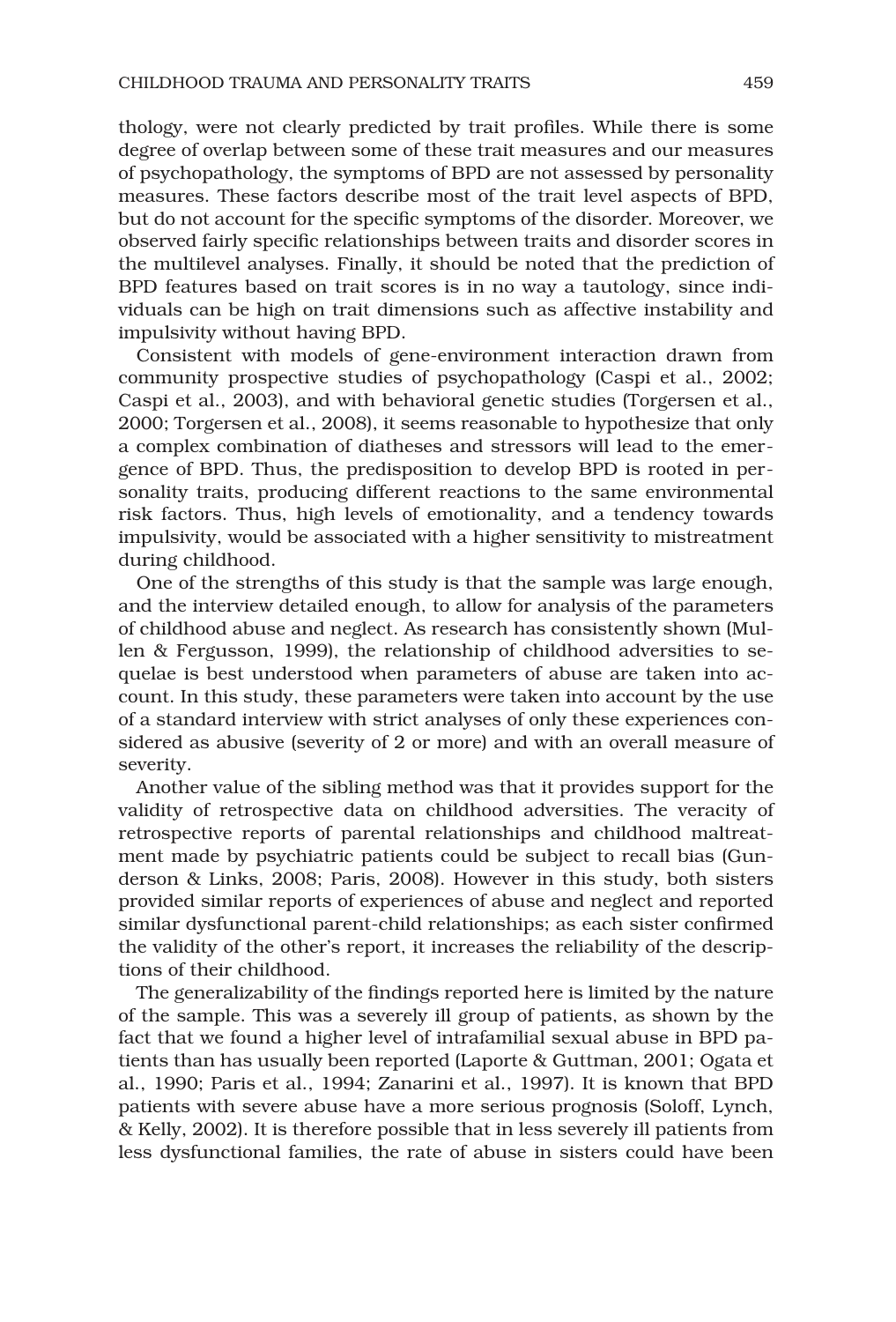thology, were not clearly predicted by trait profiles. While there is some degree of overlap between some of these trait measures and our measures of psychopathology, the symptoms of BPD are not assessed by personality measures. These factors describe most of the trait level aspects of BPD, but do not account for the specific symptoms of the disorder. Moreover, we observed fairly specific relationships between traits and disorder scores in the multilevel analyses. Finally, it should be noted that the prediction of BPD features based on trait scores is in no way a tautology, since individuals can be high on trait dimensions such as affective instability and impulsivity without having BPD.

Consistent with models of gene-environment interaction drawn from community prospective studies of psychopathology (Caspi et al., 2002; Caspi et al., 2003), and with behavioral genetic studies (Torgersen et al., 2000; Torgersen et al., 2008), it seems reasonable to hypothesize that only a complex combination of diatheses and stressors will lead to the emergence of BPD. Thus, the predisposition to develop BPD is rooted in personality traits, producing different reactions to the same environmental risk factors. Thus, high levels of emotionality, and a tendency towards impulsivity, would be associated with a higher sensitivity to mistreatment during childhood.

One of the strengths of this study is that the sample was large enough, and the interview detailed enough, to allow for analysis of the parameters of childhood abuse and neglect. As research has consistently shown (Mullen & Fergusson, 1999), the relationship of childhood adversities to sequelae is best understood when parameters of abuse are taken into account. In this study, these parameters were taken into account by the use of a standard interview with strict analyses of only these experiences considered as abusive (severity of 2 or more) and with an overall measure of severity.

Another value of the sibling method was that it provides support for the validity of retrospective data on childhood adversities. The veracity of retrospective reports of parental relationships and childhood maltreatment made by psychiatric patients could be subject to recall bias (Gunderson & Links, 2008; Paris, 2008). However in this study, both sisters provided similar reports of experiences of abuse and neglect and reported similar dysfunctional parent-child relationships; as each sister confirmed the validity of the other's report, it increases the reliability of the descriptions of their childhood.

The generalizability of the findings reported here is limited by the nature of the sample. This was a severely ill group of patients, as shown by the fact that we found a higher level of intrafamilial sexual abuse in BPD patients than has usually been reported (Laporte & Guttman, 2001; Ogata et al., 1990; Paris et al., 1994; Zanarini et al., 1997). It is known that BPD patients with severe abuse have a more serious prognosis (Soloff, Lynch, & Kelly, 2002). It is therefore possible that in less severely ill patients from less dysfunctional families, the rate of abuse in sisters could have been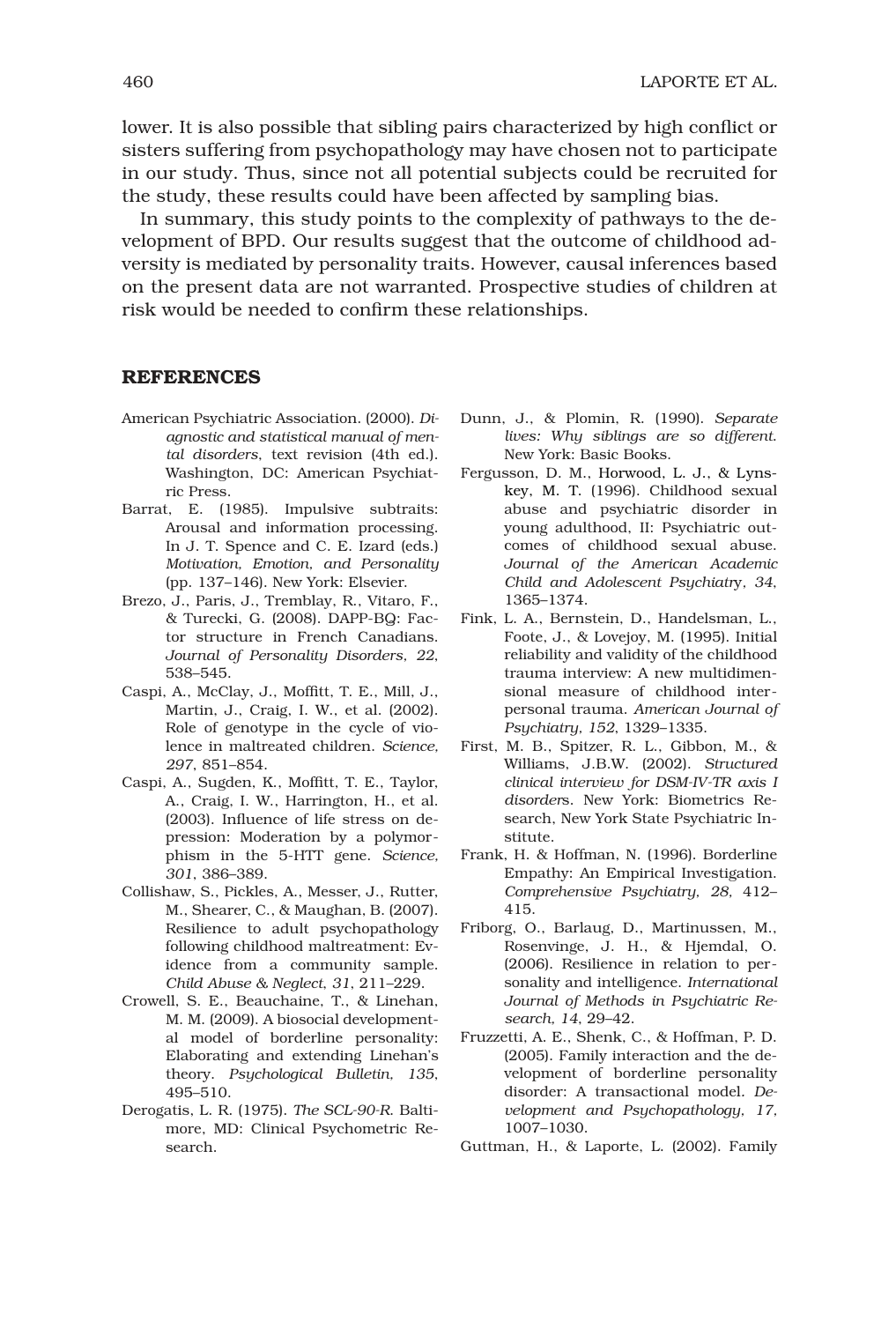lower. It is also possible that sibling pairs characterized by high conflict or sisters suffering from psychopathology may have chosen not to participate in our study. Thus, since not all potential subjects could be recruited for the study, these results could have been affected by sampling bias.

In summary, this study points to the complexity of pathways to the development of BPD. Our results suggest that the outcome of childhood adversity is mediated by personality traits. However, causal inferences based on the present data are not warranted. Prospective studies of children at risk would be needed to confirm these relationships.

#### REFERENCES

- American Psychiatric Association. (2000). *Diagnostic and statistical manual of mental disorders*, text revision (4th ed.). Washington, DC: American Psychiatric Press.
- Barrat, E. (1985). Impulsive subtraits: Arousal and information processing. In J. T. Spence and C. E. Izard (eds.) *Motivation, Emotion, and Personality* (pp. 137–146). New York: Elsevier.
- Brezo, J., Paris, J., Tremblay, R., Vitaro, F., & Turecki, G. (2008). DAPP-BQ: Factor structure in French Canadians. *Journal of Personality Disorders, 22*, 538–545.
- Caspi, A., McClay, J., Moffitt, T. E., Mill, J., Martin, J., Craig, I. W., et al. (2002). Role of genotype in the cycle of violence in maltreated children. *Science, 297*, 851–854.
- Caspi, A., Sugden, K., Moffitt, T. E., Taylor, A., Craig, I. W., Harrington, H., et al. (2003). Influence of life stress on depression: Moderation by a polymorphism in the 5-HTT gene. *Science, 301*, 386–389.
- Collishaw, S., Pickles, A., Messer, J., Rutter, M., Shearer, C., & Maughan, B. (2007). Resilience to adult psychopathology following childhood maltreatment: Evidence from a community sample. *Child Abuse & Neglect*, *31*, 211–229.
- Crowell, S. E., Beauchaine, T., & Linehan, M. M. (2009). A biosocial developmental model of borderline personality: Elaborating and extending Linehan's theory. *Psychological Bulletin, 135*, 495–510.
- Derogatis, L. R. (1975). *The SCL-90-R*. Baltimore, MD: Clinical Psychometric Research.
- Dunn, J., & Plomin, R. (1990). *Separate lives: Why siblings are so different*. New York: Basic Books.
- Fergusson, D. M., Horwood, L. J., & Lynskey, M. T. (1996). Childhood sexual abuse and psychiatric disorder in young adulthood, II: Psychiatric outcomes of childhood sexual abuse. *Journal of the American Academic Child and Adolescent Psychiatr*y*, 34*, 1365–1374.
- Fink, L. A., Bernstein, D., Handelsman, L., Foote, J., & Lovejoy, M. (1995). Initial reliability and validity of the childhood trauma interview: A new multidimensional measure of childhood interpersonal trauma. *American Journal of Psychiatry, 152*, 1329–1335.
- First, M. B., Spitzer, R. L., Gibbon, M., & Williams, J.B.W. (2002). *Structured clinical interview for DSM-IV-TR axis I disorder*s. New York: Biometrics Research, New York State Psychiatric Institute.
- Frank, H. & Hoffman, N. (1996). Borderline Empathy: An Empirical Investigation. *Comprehensive Psychiatry, 28,* 412– 415.
- Friborg, O., Barlaug, D., Martinussen, M., Rosenvinge, J. H., & Hjemdal, O. (2006). Resilience in relation to personality and intelligence. *International Journal of Methods in Psychiatric Research, 14*, 29–42.
- Fruzzetti, A. E., Shenk, C., & Hoffman, P. D. (2005). Family interaction and the development of borderline personality disorder: A transactional model*. Development and Psychopathology, 17,* 1007–1030.
- Guttman, H., & Laporte, L. (2002). Family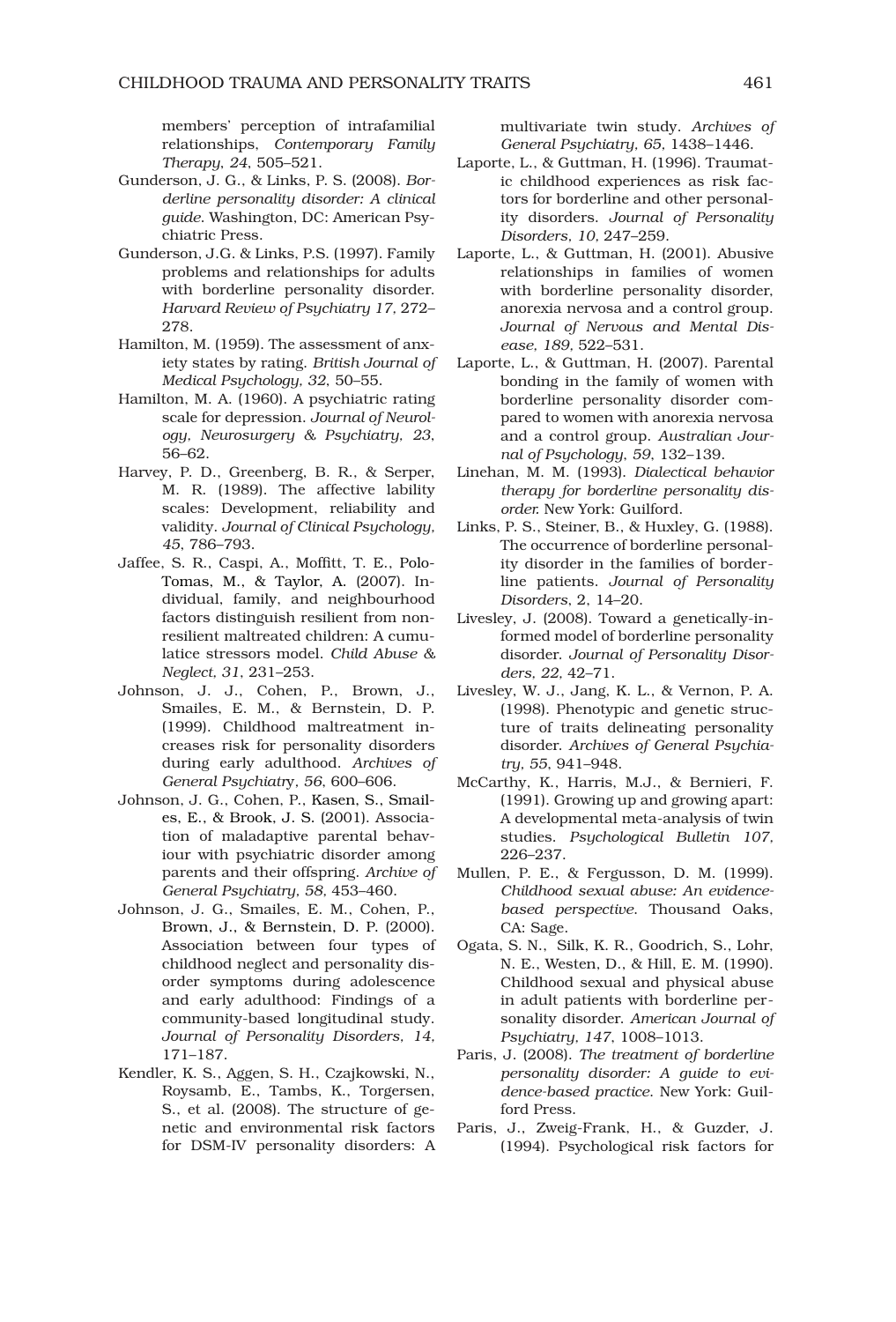members' perception of intrafamilial relationships, *Contemporary Family Therapy*, *24*, 505–521.

- Gunderson, J. G., & Links, P. S. (2008). *Borderline personality disorder: A clinical guide*. Washington, DC: American Psychiatric Press.
- Gunderson, J.G. & Links, P.S. (1997). Family problems and relationships for adults with borderline personality disorder. *Harvard Review of Psychiatry 17,* 272– 278.
- Hamilton, M. (1959). The assessment of anxiety states by rating. *British Journal of Medical Psychology, 32*, 50–55.
- Hamilton, M. A. (1960). A psychiatric rating scale for depression. *Journal of Neurology, Neurosurgery & Psychiatry, 23*, 56–62.
- Harvey, P. D., Greenberg, B. R., & Serper, M. R. (1989). The affective lability scales: Development, reliability and validity. *Journal of Clinical Psychology, 45*, 786–793.
- Jaffee, S. R., Caspi, A., Moffitt, T. E., Polo-Tomas, M., & Taylor, A. (2007). Individual, family, and neighbourhood factors distinguish resilient from nonresilient maltreated children: A cumulatice stressors model. *Child Abuse & Neglect, 31*, 231–253.
- Johnson, J. J., Cohen, P., Brown, J., Smailes, E. M., & Bernstein, D. P. (1999). Childhood maltreatment increases risk for personality disorders during early adulthood. *Archives of General Psychiatr*y*, 56*, 600–606.
- Johnson, J. G., Cohen, P., Kasen, S., Smailes, E., & Brook, J. S. (2001). Association of maladaptive parental behaviour with psychiatric disorder among parents and their offspring. *Archive of General Psychiatry, 58,* 453–460.
- Johnson, J. G., Smailes, E. M., Cohen, P., Brown, J., & Bernstein, D. P. (2000). Association between four types of childhood neglect and personality disorder symptoms during adolescence and early adulthood: Findings of a community-based longitudinal study. *Journal of Personality Disorders, 14,* 171–187.
- Kendler, K. S., Aggen, S. H., Czajkowski, N., Roysamb, E., Tambs, K., Torgersen, S., et al. (2008). The structure of genetic and environmental risk factors for DSM-IV personality disorders: A

multivariate twin study. *Archives of General Psychiatry, 65,* 1438–1446.

- Laporte, L., & Guttman, H. (1996). Traumatic childhood experiences as risk factors for borderline and other personality disorders. *Journal of Personality Disorders, 10,* 247–259.
- Laporte, L., & Guttman, H. (2001). Abusive relationships in families of women with borderline personality disorder, anorexia nervosa and a control group. *Journal of Nervous and Mental Disease, 189,* 522–531.
- Laporte, L., & Guttman, H. (2007). Parental bonding in the family of women with borderline personality disorder compared to women with anorexia nervosa and a control group. *Australian Journal of Psychology*, *59*, 132–139.
- Linehan, M. M. (1993). *Dialectical behavior therapy for borderline personality disorder.* New York: Guilford.
- Links, P. S., Steiner, B., & Huxley, G. (1988). The occurrence of borderline personality disorder in the families of borderline patients. *Journal of Personality Disorders*, 2, 14–20.
- Livesley, J. (2008). Toward a genetically-informed model of borderline personality disorder. *Journal of Personality Disorders, 22,* 42–71.
- Livesley, W. J., Jang, K. L., & Vernon, P. A. (1998). Phenotypic and genetic structure of traits delineating personality disorder. *Archives of General Psychiatry, 55*, 941–948.
- McCarthy, K., Harris, M.J., & Bernieri, F. (1991). Growing up and growing apart: A developmental meta-analysis of twin studies. *Psychological Bulletin 107,*  226–237.
- Mullen, P. E., & Fergusson, D. M. (1999). *Childhood sexual abuse: An evidencebased perspective*. Thousand Oaks, CA: Sage.
- Ogata, S. N., Silk, K. R., Goodrich, S., Lohr, N. E., Westen, D., & Hill, E. M. (1990). Childhood sexual and physical abuse in adult patients with borderline personality disorder. *American Journal of Psychiatry, 147*, 1008–1013.
- Paris, J. (2008). *The treatment of borderline personality disorder: A guide to evidence-based practice*. New York: Guilford Press.
- Paris, J., Zweig-Frank, H., & Guzder, J. (1994). Psychological risk factors for